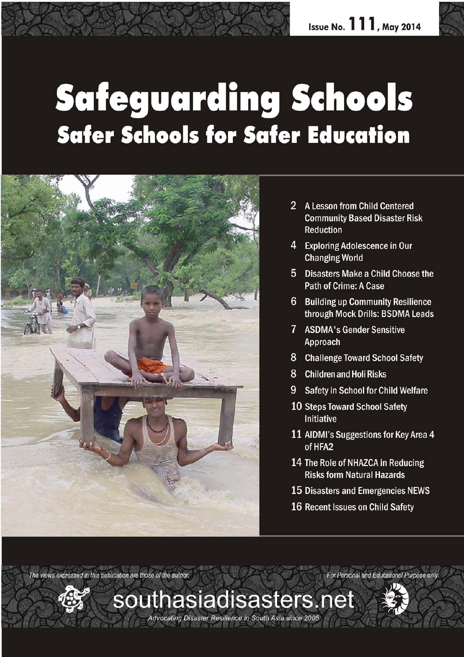# **Safeguarding Schools Safer Schools for Safer Education**



- 2 A Lesson from Child Centered **Community Based Disaster Risk Reduction**
- 4 Exploring Adolescence in Our **Changing World**
- 5 Disasters Make a Child Choose the Path of Crime: A Case
- 6 Building up Community Resilience through Mock Drills: BSDMA Leads
- 7 ASDMA's Gender Sensitive Approach
- 8 Challenge Toward School Safety
- 8 Children and Holi Risks
- **Safety in School for Child Welfare** 9.
- **10 Steps Toward School Safety Initiative**
- 11 AIDMI's Suggestions for Key Area 4 of HFA2
- 14 The Role of NHAZCA in Reducing **Risks form Natural Hazards**
- 15 Disasters and Emergencies NEWS
- 16 Recent Issues on Child Safety

The views expressed in this publication are those of the author. For Personal and Educational Purpose only

southasiadisasters.net

Advocating Disaster Resilience in South Asia since 2005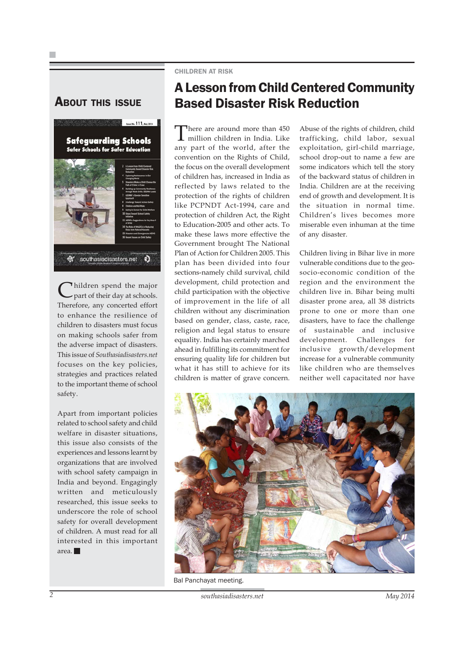

Thildren spend the major part of their day at schools. Therefore, any concerted effort to enhance the resilience of children to disasters must focus on making schools safer from the adverse impact of disasters. This issue of *Southasiadisasters.net* focuses on the key policies, strategies and practices related to the important theme of school safety.

Apart from important policies related to school safety and child welfare in disaster situations, this issue also consists of the experiences and lessons learnt by organizations that are involved with school safety campaign in India and beyond. Engagingly written and meticulously researched, this issue seeks to underscore the role of school safety for overall development of children. A must read for all interested in this important area.

#### CHILDREN AT RISK

### A Lesson from Child Centered Community ABOUT THIS ISSUE Based Disaster Risk Reduction

There are around more than 450 million children in India. Like any part of the world, after the convention on the Rights of Child, the focus on the overall development of children has, increased in India as reflected by laws related to the protection of the rights of children like PCPNDT Act-1994, care and protection of children Act, the Right to Education-2005 and other acts. To make these laws more effective the Government brought The National Plan of Action for Children 2005. This plan has been divided into four sections-namely child survival, child development, child protection and child participation with the objective of improvement in the life of all children without any discrimination based on gender, class, caste, race, religion and legal status to ensure equality. India has certainly marched ahead in fulfilling its commitment for ensuring quality life for children but what it has still to achieve for its children is matter of grave concern.

Abuse of the rights of children, child trafficking, child labor, sexual exploitation, girl-child marriage, school drop-out to name a few are some indicators which tell the story of the backward status of children in India. Children are at the receiving end of growth and development. It is the situation in normal time. Children's lives becomes more miserable even inhuman at the time of any disaster.

Children living in Bihar live in more vulnerable conditions due to the geosocio-economic condition of the region and the environment the children live in. Bihar being multi disaster prone area, all 38 districts prone to one or more than one disasters, have to face the challenge of sustainable and inclusive development. Challenges for inclusive growth/development increase for a vulnerable community like children who are themselves neither well capacitated nor have



Bal Panchayat meeting.

<sup>2</sup> *southasiadisasters.net* May 2014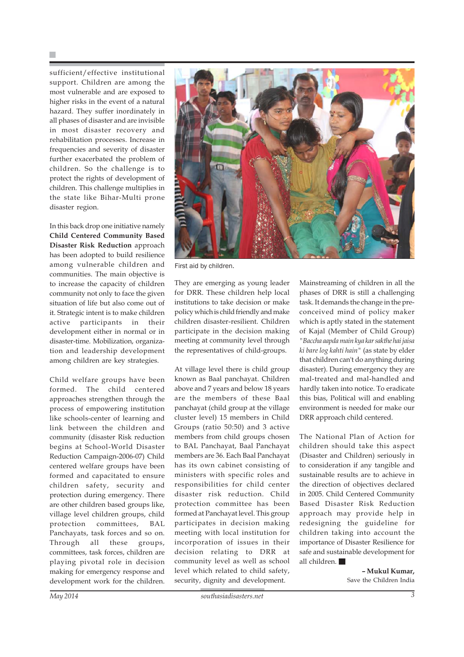sufficient/effective institutional support. Children are among the most vulnerable and are exposed to higher risks in the event of a natural hazard. They suffer inordinately in all phases of disaster and are invisible in most disaster recovery and rehabilitation processes. Increase in frequencies and severity of disaster further exacerbated the problem of children. So the challenge is to protect the rights of development of children. This challenge multiplies in the state like Bihar-Multi prone disaster region.

In this back drop one initiative namely **Child Centered Community Based Disaster Risk Reduction** approach has been adopted to build resilience among vulnerable children and communities. The main objective is to increase the capacity of children community not only to face the given situation of life but also come out of it. Strategic intent is to make children active participants in their development either in normal or in disaster-time. Mobilization, organization and leadership development among children are key strategies.

Child welfare groups have been formed. The child centered approaches strengthen through the process of empowering institution like schools-center of learning and link between the children and community (disaster Risk reduction begins at School-World Disaster Reduction Campaign-2006-07) Child centered welfare groups have been formed and capacitated to ensure children safety, security and protection during emergency. There are other children based groups like, village level children groups, child protection committees, BAL Panchayats, task forces and so on. Through all these groups, committees, task forces, children are playing pivotal role in decision making for emergency response and development work for the children.



First aid by children.

They are emerging as young leader for DRR. These children help local institutions to take decision or make policy which is child friendly and make children disaster-resilient. Children participate in the decision making meeting at community level through the representatives of child-groups.

At village level there is child group known as Baal panchayat. Children above and 7 years and below 18 years are the members of these Baal panchayat (child group at the village cluster level) 15 members in Child Groups (ratio 50:50) and 3 active members from child groups chosen to BAL Panchayat, Baal Panchayat members are 36. Each Baal Panchayat has its own cabinet consisting of ministers with specific roles and responsibilities for child center disaster risk reduction. Child protection committee has been formed at Panchayat level. This group participates in decision making meeting with local institution for incorporation of issues in their decision relating to DRR at community level as well as school level which related to child safety, security, dignity and development.

Mainstreaming of children in all the phases of DRR is still a challenging task. It demands the change in the preconceived mind of policy maker which is aptly stated in the statement of Kajal (Member of Child Group) *"Baccha aapda main kya kar sakthe hai jaisa ki bare log kahti hain"* (as state by elder that children can't do anything during disaster). During emergency they are mal-treated and mal-handled and hardly taken into notice. To eradicate this bias, Political will and enabling environment is needed for make our DRR approach child centered.

The National Plan of Action for children should take this aspect (Disaster and Children) seriously in to consideration if any tangible and sustainable results are to achieve in the direction of objectives declared in 2005. Child Centered Community Based Disaster Risk Reduction approach may provide help in redesigning the guideline for children taking into account the importance of Disaster Resilience for safe and sustainable development for all children.

> **– Mukul Kumar,** Save the Children India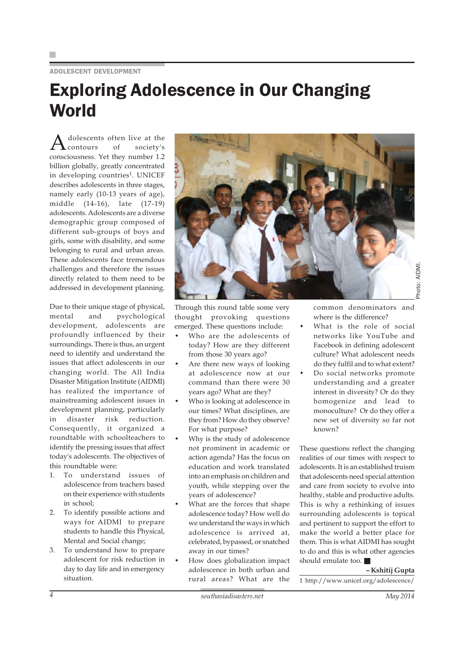#### ADOLESCENT DEVELOPMENT

### Exploring Adolescence in Our Changing **World**

dolescents often live at the<br>contours of society's society's consciousness. Yet they number 1.2 billion globally, greatly concentrated in developing countries<sup>1</sup>. UNICEF describes adolescents in three stages, namely early (10-13 years of age), middle (14-16), late (17-19) adolescents. Adolescents are a diverse demographic group composed of different sub-groups of boys and girls, some with disability, and some belonging to rural and urban areas. These adolescents face tremendous challenges and therefore the issues directly related to them need to be addressed in development planning.

Due to their unique stage of physical, mental and psychological development, adolescents are profoundly influenced by their surroundings. There is thus, an urgent need to identify and understand the issues that affect adolescents in our changing world. The All India Disaster Mitigation Institute (AIDMI) has realized the importance of mainstreaming adolescent issues in development planning, particularly in disaster risk reduction. Consequently, it organized a roundtable with schoolteachers to identify the pressing issues that affect today's adolescents. The objectives of this roundtable were:

- 1. To understand issues of adolescence from teachers based on their experience with students in school;
- 2. To identify possible actions and ways for AIDMI to prepare students to handle this Physical, Mental and Social change;
- 3. To understand how to prepare adolescent for risk reduction in day to day life and in emergency situation.



Through this round table some very thought provoking questions emerged. These questions include:

- Who are the adolescents of today? How are they different from those 30 years ago?
- Are there new ways of looking at adolescence now at our command than there were 30 years ago? What are they?
- Who is looking at adolescence in our times? What disciplines, are they from? How do they observe? For what purpose?
- Why is the study of adolescence not prominent in academic or action agenda? Has the focus on education and work translated into an emphasis on children and youth, while stepping over the years of adolescence?
- What are the forces that shape adolescence today? How well do we understand the ways in which adolescence is arrived at, celebrated, bypassed, or snatched away in our times?
- How does globalization impact adolescence in both urban and rural areas? What are the

common denominators and where is the difference?

- What is the role of social networks like YouTube and Facebook in defining adolescent culture? What adolescent needs do they fulfil and to what extent?
- Do social networks promote understanding and a greater interest in diversity? Or do they homogenize and lead to monoculture? Or do they offer a new set of diversity so far not known?

These questions reflect the changing realities of our times with respect to adolescents. It is an established truism that adolescents need special attention and care from society to evolve into healthy, stable and productive adults. This is why a rethinking of issues surrounding adolescents is topical and pertinent to support the effort to make the world a better place for them. This is what AIDMI has sought to do and this is what other agencies should emulate too.

**– Kshitij Gupta** 1 http://www.unicef.org/adolescence/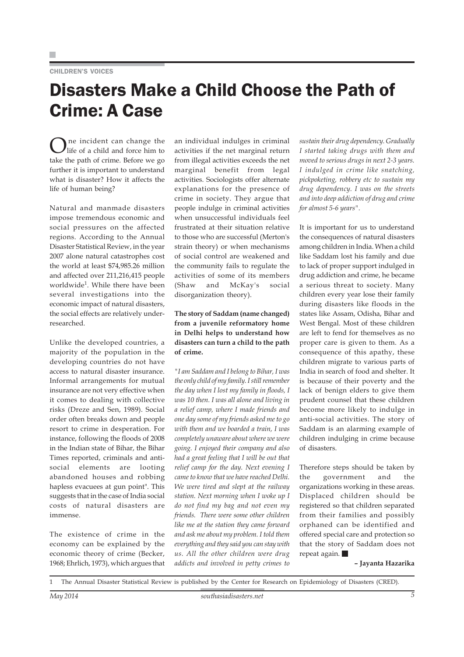#### CHILDREN'S VOICES

## Disasters Make a Child Choose the Path of Crime: A Case

ne incident can change the life of a child and force him to take the path of crime. Before we go further it is important to understand what is disaster? How it affects the life of human being?

Natural and manmade disasters impose tremendous economic and social pressures on the affected regions. According to the Annual Disaster Statistical Review, in the year 2007 alone natural catastrophes cost the world at least \$74,985.26 million and affected over 211,216,415 people worldwide<sup>1</sup>. While there have been several investigations into the economic impact of natural disasters, the social effects are relatively underresearched.

Unlike the developed countries, a majority of the population in the developing countries do not have access to natural disaster insurance. Informal arrangements for mutual insurance are not very effective when it comes to dealing with collective risks (Dreze and Sen, 1989). Social order often breaks down and people resort to crime in desperation. For instance, following the floods of 2008 in the Indian state of Bihar, the Bihar Times reported, criminals and antisocial elements are looting abandoned houses and robbing hapless evacuees at gun point". This suggests that in the case of India social costs of natural disasters are immense.

The existence of crime in the economy can be explained by the economic theory of crime (Becker, 1968; Ehrlich, 1973), which argues that an individual indulges in criminal activities if the net marginal return from illegal activities exceeds the net marginal benefit from legal activities. Sociologists offer alternate explanations for the presence of crime in society. They argue that people indulge in criminal activities when unsuccessful individuals feel frustrated at their situation relative to those who are successful (Merton's strain theory) or when mechanisms of social control are weakened and the community fails to regulate the activities of some of its members (Shaw and McKay's social disorganization theory).

#### **The story of Saddam (name changed) from a juvenile reformatory home in Delhi helps to understand how disasters can turn a child to the path of crime.**

*"I am Saddam and I belong to Bihar, I was the only child of my family. I still remember the day when I lost my family in floods, I was 10 then. I was all alone and living in a relief camp, where I made friends and one day some of my friends asked me to go with them and we boarded a train, I was completely unaware about where we were going. I enjoyed their company and also had a great feeling that I will be out that relief camp for the day. Next evening I came to know that we have reached Delhi. We were tired and slept at the railway station. Next morning when I woke up I do not find my bag and not even my friends. There were some other children like me at the station they came forward and ask me about my problem. I told them everything and they said you can stay with us. All the other children were drug addicts and involved in petty crimes to*

*sustain their drug dependency. Gradually I started taking drugs with them and moved to serious drugs in next 2-3 years. I indulged in crime like snatching, pickpoketing, robbery etc to sustain my drug dependency. I was on the streets and into deep addiction of drug and crime for almost 5-6 years".*

It is important for us to understand the consequences of natural disasters among children in India. When a child like Saddam lost his family and due to lack of proper support indulged in drug addiction and crime, he became a serious threat to society. Many children every year lose their family during disasters like floods in the states like Assam, Odisha, Bihar and West Bengal. Most of these children are left to fend for themselves as no proper care is given to them. As a consequence of this apathy, these children migrate to various parts of India in search of food and shelter. It is because of their poverty and the lack of benign elders to give them prudent counsel that these children become more likely to indulge in anti-social activities. The story of Saddam is an alarming example of children indulging in crime because of disasters.

Therefore steps should be taken by the government and the organizations working in these areas. Displaced children should be registered so that children separated from their families and possibly orphaned can be identified and offered special care and protection so that the story of Saddam does not repeat again.

#### **– Jayanta Hazarika**

1 The Annual Disaster Statistical Review is published by the Center for Research on Epidemiology of Disasters (CRED).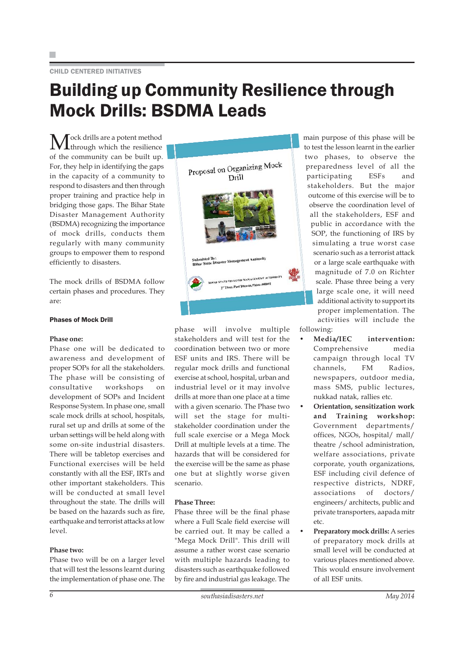#### CHILD CENTERED INITIATIVES

### Building up Community Resilience through Mock Drills: BSDMA Leads

 $M^{ock\,drills\,are\,a\,potent\,method}$ of the community can be built up. For, they help in identifying the gaps in the capacity of a community to respond to disasters and then through proper training and practice help in bridging those gaps. The Bihar State Disaster Management Authority (BSDMA) recognizing the importance of mock drills, conducts them regularly with many community groups to empower them to respond efficiently to disasters.

The mock drills of BSDMA follow certain phases and procedures. They are:

#### Phases of Mock Drill

#### **Phase one:**

Phase one will be dedicated to awareness and development of proper SOPs for all the stakeholders. The phase will be consisting of consultative workshops on development of SOPs and Incident Response System. In phase one, small scale mock drills at school, hospitals, rural set up and drills at some of the urban settings will be held along with some on-site industrial disasters. There will be tabletop exercises and Functional exercises will be held constantly with all the ESF, IRTs and other important stakeholders. This will be conducted at small level throughout the state. The drills will be based on the hazards such as fire, earthquake and terrorist attacks at low level.

#### **Phase two:**

Phase two will be on a larger level that will test the lessons learnt during the implementation of phase one. The



phase will involve multiple stakeholders and will test for the coordination between two or more ESF units and IRS. There will be regular mock drills and functional exercise at school, hospital, urban and industrial level or it may involve drills at more than one place at a time with a given scenario. The Phase two will set the stage for multistakeholder coordination under the full scale exercise or a Mega Mock Drill at multiple levels at a time. The hazards that will be considered for the exercise will be the same as phase one but at slightly worse given scenario.

#### **Phase Three:**

Phase three will be the final phase where a Full Scale field exercise will be carried out. It may be called a "Mega Mock Drill". This drill will assume a rather worst case scenario with multiple hazards leading to disasters such as earthquake followed by fire and industrial gas leakage. The

main purpose of this phase will be to test the lesson learnt in the earlier two phases, to observe the preparedness level of all the participating ESFs and stakeholders. But the major outcome of this exercise will be to observe the coordination level of all the stakeholders, ESF and public in accordance with the SOP, the functioning of IRS by simulating a true worst case scenario such as a terrorist attack or a large scale earthquake with magnitude of 7.0 on Richter scale. Phase three being a very large scale one, it will need additional activity to support its proper implementation. The activities will include the following:

- **Media/IEC intervention:** Comprehensive media campaign through local TV channels, FM Radios, newspapers, outdoor media, mass SMS, public lectures, nukkad natak, rallies etc.
- **Orientation, sensitization work and Training workshop:** Government departments/ offices, NGOs, hospital/ mall/ theatre /school administration, welfare associations, private corporate, youth organizations, ESF including civil defence of respective districts, NDRF, associations of doctors/ engineers/ architects, public and private transporters, aapada mitr etc.
- **Preparatory mock drills:** A series of preparatory mock drills at small level will be conducted at various places mentioned above. This would ensure involvement of all ESF units.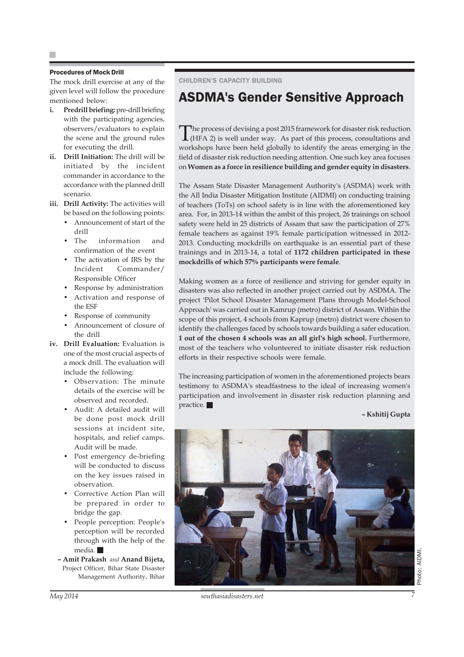#### Procedures of Mock Drill

The mock drill exercise at any of the given level will follow the procedure mentioned below:

- **i. Predrill briefing:** pre-drill briefing with the participating agencies, observers/evaluators to explain the scene and the ground rules for executing the drill.
- **ii. Drill Initiation:** The drill will be initiated by the incident commander in accordance to the accordance with the planned drill scenario.
- **iii. Drill Activity:** The activities will be based on the following points:
	- Announcement of start of the drill
	- The information and confirmation of the event
	- The activation of IRS by the Incident Commander/ Responsible Officer
	- Response by administration
	- Activation and response of the ESF
	- Response of community
	- Announcement of closure of the drill
- **iv. Drill Evaluation:** Evaluation is one of the most crucial aspects of a mock drill. The evaluation will include the following:
	- Observation: The minute details of the exercise will be observed and recorded.
	- Audit: A detailed audit will be done post mock drill sessions at incident site, hospitals, and relief camps. Audit will be made.
	- Post emergency de-briefing will be conducted to discuss on the key issues raised in observation.
	- Corrective Action Plan will be prepared in order to bridge the gap.
	- People perception: People's perception will be recorded through with the help of the media.
	- **Amit Prakash** *and* **Anand Bijeta,** Project Officer, Bihar State Disaster Management Authority, Bihar

#### CHILDREN'S CAPACITY BUILDING

### ASDMA's Gender Sensitive Approach

The process of devising a post 2015 framework for disaster risk reduction (HFA 2) is well under way. As part of this process, consultations and workshops have been held globally to identify the areas emerging in the field of disaster risk reduction needing attention. One such key area focuses on **Women as a force in resilience building and gender equity in disasters**.

The Assam State Disaster Management Authority's (ASDMA) work with the All India Disaster Mitigation Institute (AIDMI) on conducting training of teachers (ToTs) on school safety is in line with the aforementioned key area. For, in 2013-14 within the ambit of this project, 26 trainings on school safety were held in 25 districts of Assam that saw the participation of 27% female teachers as against 19% female participation witnessed in 2012- 2013. Conducting mockdrills on earthquake is an essential part of these trainings and in 2013-14, a total of **1172 children participated in these mockdrills of which 57% participants were female**.

Making women as a force of resilience and striving for gender equity in disasters was also reflected in another project carried out by ASDMA. The project 'Pilot School Disaster Management Plans through Model-School Approach' was carried out in Kamrup (metro) district of Assam. Within the scope of this project, 4 schools from Kaprup (metro) district were chosen to identify the challenges faced by schools towards building a safer education. **1 out of the chosen 4 schools was an all girl's high school.** Furthermore, most of the teachers who volunteered to initiate disaster risk reduction efforts in their respective schools were female.

The increasing participation of women in the aforementioned projects bears testimony to ASDMA's steadfastness to the ideal of increasing women's participation and involvement in disaster risk reduction planning and practice.

**– Kshitij Gupta**



*May 2014 southasiadisasters.net 7*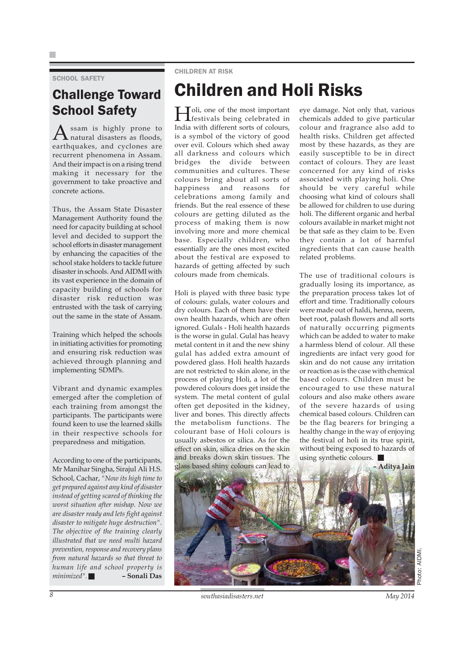SCHOOL SAFETY

### Challenge Toward School Safety

A ssam is highly prone to<br>natural disasters as floods, earthquakes, and cyclones are recurrent phenomena in Assam. And their impact is on a rising trend making it necessary for the government to take proactive and concrete actions.

Thus, the Assam State Disaster Management Authority found the need for capacity building at school level and decided to support the school efforts in disaster management by enhancing the capacities of the school stake holders to tackle future disaster in schools. And AIDMI with its vast experience in the domain of capacity building of schools for disaster risk reduction was entrusted with the task of carrying out the same in the state of Assam.

Training which helped the schools in initiating activities for promoting and ensuring risk reduction was achieved through planning and implementing SDMPs.

Vibrant and dynamic examples emerged after the completion of each training from amongst the participants. The participants were found keen to use the learned skills in their respective schools for preparedness and mitigation.

According to one of the participants, Mr Manihar Singha, Sirajul Ali H.S. School, Cachar, *"Now its high time to get prepared against any kind of disaster instead of getting scared of thinking the worst situation after mishap. Now we are disaster ready and lets fight against disaster to mitigate huge destruction". The objective of the training clearly illustrated that we need multi hazard prevention, response and recovery plans from natural hazards so that threat to human life and school property is minimized".* **– Sonali Das**

#### CHILDREN AT RISK

### Children and Holi Risks

Holi, one of the most important festivals being celebrated in India with different sorts of colours, is a symbol of the victory of good over evil. Colours which shed away all darkness and colours which bridges the divide between communities and cultures. These colours bring about all sorts of happiness and reasons for celebrations among family and friends. But the real essence of these colours are getting diluted as the process of making them is now involving more and more chemical base. Especially children, who essentially are the ones most excited about the festival are exposed to hazards of getting affected by such colours made from chemicals.

Holi is played with three basic type of colours: gulals, water colours and dry colours. Each of them have their own health hazards, which are often ignored. Gulals - Holi health hazards is the worse in gulal. Gulal has heavy metal content in it and the new shiny gulal has added extra amount of powdered glass. Holi health hazards are not restricted to skin alone, in the process of playing Holi, a lot of the powdered colours does get inside the system. The metal content of gulal often get deposited in the kidney, liver and bones. This directly affects the metabolism functions. The colourant base of Holi colours is usually asbestos or silica. As for the effect on skin, silica dries on the skin and breaks down skin tissues. The glass based shiny colours can lead to

eye damage. Not only that, various chemicals added to give particular colour and fragrance also add to health risks. Children get affected most by these hazards, as they are easily susceptible to be in direct contact of colours. They are least concerned for any kind of risks associated with playing holi. One should be very careful while choosing what kind of colours shall be allowed for children to use during holi. The different organic and herbal colours available in market might not be that safe as they claim to be. Even they contain a lot of harmful ingredients that can cause health related problems.

The use of traditional colours is gradually losing its importance, as the preparation process takes lot of effort and time. Traditionally colours were made out of haldi, henna, neem, beet root, palash flowers and all sorts of naturally occurring pigments which can be added to water to make a harmless blend of colour. All these ingredients are infact very good for skin and do not cause any irritation or reaction as is the case with chemical based colours. Children must be encouraged to use these natural colours and also make others aware of the severe hazards of using chemical based colours. Children can be the flag bearers for bringing a healthy change in the way of enjoying the festival of holi in its true spirit, without being exposed to hazards of using synthetic colours.

**– Aditya Jain**



*8 southasiadisasters.net May 2014*

Photo: AIDMI.Photo: AIDMI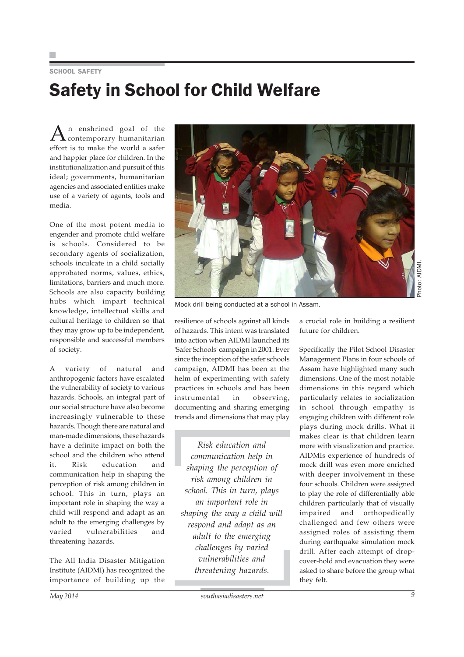### SCHOOL SAFFTY Safety in School for Child Welfare

 $A$ <sup>n</sup> enshrined goal of the contemporary humanitarian effort is to make the world a safer and happier place for children. In the institutionalization and pursuit of this ideal; governments, humanitarian agencies and associated entities make use of a variety of agents, tools and media.

One of the most potent media to engender and promote child welfare is schools. Considered to be secondary agents of socialization, schools inculcate in a child socially approbated norms, values, ethics, limitations, barriers and much more. Schools are also capacity building hubs which impart technical knowledge, intellectual skills and cultural heritage to children so that they may grow up to be independent, responsible and successful members of society.

A variety of natural and anthropogenic factors have escalated the vulnerability of society to various hazards. Schools, an integral part of our social structure have also become increasingly vulnerable to these hazards. Though there are natural and man-made dimensions, these hazards have a definite impact on both the school and the children who attend it. Risk education and communication help in shaping the perception of risk among children in school. This in turn, plays an important role in shaping the way a child will respond and adapt as an adult to the emerging challenges by varied vulnerabilities and threatening hazards.

The All India Disaster Mitigation Institute (AIDMI) has recognized the importance of building up the



Photo: AIDMI.

Mock drill being conducted at a school in Assam.

resilience of schools against all kinds of hazards. This intent was translated into action when AIDMI launched its 'Safer Schools' campaign in 2001. Ever since the inception of the safer schools campaign, AIDMI has been at the helm of experimenting with safety practices in schools and has been instrumental in observing, documenting and sharing emerging trends and dimensions that may play

*Risk education and communication help in shaping the perception of risk among children in school. This in turn, plays an important role in shaping the way a child will respond and adapt as an adult to the emerging challenges by varied vulnerabilities and threatening hazards.*

a crucial role in building a resilient future for children.

Specifically the Pilot School Disaster Management Plans in four schools of Assam have highlighted many such dimensions. One of the most notable dimensions in this regard which particularly relates to socialization in school through empathy is engaging children with different role plays during mock drills. What it makes clear is that children learn more with visualization and practice. AIDMIs experience of hundreds of mock drill was even more enriched with deeper involvement in these four schools. Children were assigned to play the role of differentially able children particularly that of visually impaired and orthopedically challenged and few others were assigned roles of assisting them during earthquake simulation mock drill. After each attempt of dropcover-hold and evacuation they were asked to share before the group what they felt.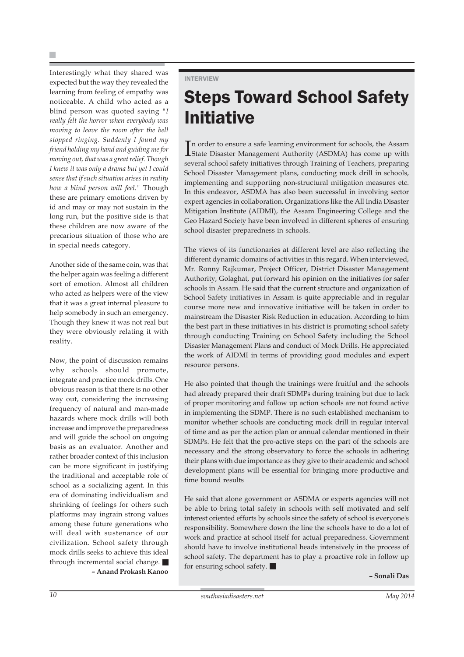Interestingly what they shared was expected but the way they revealed the learning from feeling of empathy was noticeable. A child who acted as a blind person was quoted saying *"I really felt the horror when everybody was moving to leave the room after the bell stopped ringing. Suddenly I found my friend holding my hand and guiding me for moving out, that was a great relief. Though I knew it was only a drama but yet I could sense that if such situation arises in reality how a blind person will feel."* Though these are primary emotions driven by id and may or may not sustain in the long run, but the positive side is that these children are now aware of the precarious situation of those who are in special needs category.

Another side of the same coin, was that the helper again was feeling a different sort of emotion. Almost all children who acted as helpers were of the view that it was a great internal pleasure to help somebody in such an emergency. Though they knew it was not real but they were obviously relating it with reality.

Now, the point of discussion remains why schools should promote, integrate and practice mock drills. One obvious reason is that there is no other way out, considering the increasing frequency of natural and man-made hazards where mock drills will both increase and improve the preparedness and will guide the school on ongoing basis as an evaluator. Another and rather broader context of this inclusion can be more significant in justifying the traditional and acceptable role of school as a socializing agent. In this era of dominating individualism and shrinking of feelings for others such platforms may ingrain strong values among these future generations who will deal with sustenance of our civilization. School safety through mock drills seeks to achieve this ideal through incremental social change. **– Anand Prokash Kanoo**

#### INTERVIEW

### Steps Toward School Safety Initiative

In order to ensure a safe learning environment for schools, the Assam<br>
State Disaster Management Authority (ASDMA) has come up with n order to ensure a safe learning environment for schools, the Assam several school safety initiatives through Training of Teachers, preparing School Disaster Management plans, conducting mock drill in schools, implementing and supporting non-structural mitigation measures etc. In this endeavor, ASDMA has also been successful in involving sector expert agencies in collaboration. Organizations like the All India Disaster Mitigation Institute (AIDMI), the Assam Engineering College and the Geo Hazard Society have been involved in different spheres of ensuring school disaster preparedness in schools.

The views of its functionaries at different level are also reflecting the different dynamic domains of activities in this regard. When interviewed, Mr. Ronny Rajkumar, Project Officer, District Disaster Management Authority, Golaghat, put forward his opinion on the initiatives for safer schools in Assam. He said that the current structure and organization of School Safety initiatives in Assam is quite appreciable and in regular course more new and innovative initiative will be taken in order to mainstream the Disaster Risk Reduction in education. According to him the best part in these initiatives in his district is promoting school safety through conducting Training on School Safety including the School Disaster Management Plans and conduct of Mock Drills. He appreciated the work of AIDMI in terms of providing good modules and expert resource persons.

He also pointed that though the trainings were fruitful and the schools had already prepared their draft SDMPs during training but due to lack of proper monitoring and follow up action schools are not found active in implementing the SDMP. There is no such established mechanism to monitor whether schools are conducting mock drill in regular interval of time and as per the action plan or annual calendar mentioned in their SDMPs. He felt that the pro-active steps on the part of the schools are necessary and the strong observatory to force the schools in adhering their plans with due importance as they give to their academic and school development plans will be essential for bringing more productive and time bound results

He said that alone government or ASDMA or experts agencies will not be able to bring total safety in schools with self motivated and self interest oriented efforts by schools since the safety of school is everyone's responsibility. Somewhere down the line the schools have to do a lot of work and practice at school itself for actual preparedness. Government should have to involve institutional heads intensively in the process of school safety. The department has to play a proactive role in follow up for ensuring school safety.

**– Sonali Das**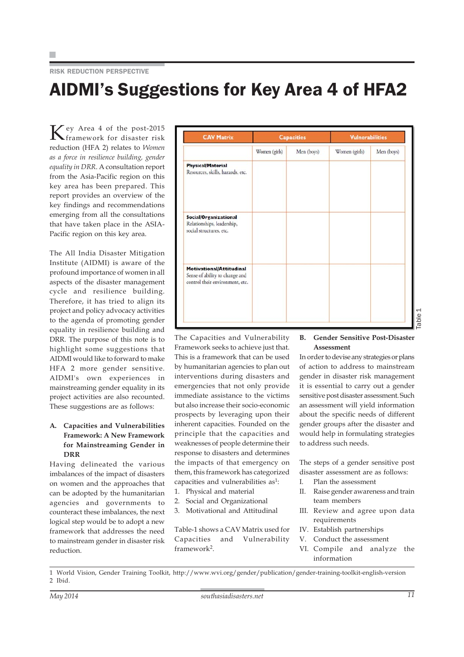#### RISK REDUCTION PERSPECTIVE

### AIDMI's Suggestions for Key Area 4 of HFA2

Key Area 4 of the post-2015 framework for disaster risk reduction (HFA 2) relates to *Women as a force in resilience building, gender equality in DRR*. A consultation report from the Asia-Pacific region on this key area has been prepared. This report provides an overview of the key findings and recommendations emerging from all the consultations that have taken place in the ASIA-Pacific region on this key area.

The All India Disaster Mitigation Institute (AIDMI) is aware of the profound importance of women in all aspects of the disaster management cycle and resilience building. Therefore, it has tried to align its project and policy advocacy activities to the agenda of promoting gender equality in resilience building and DRR. The purpose of this note is to highlight some suggestions that AIDMI would like to forward to make HFA 2 more gender sensitive. AIDMI's own experiences in mainstreaming gender equality in its project activities are also recounted. These suggestions are as follows:

#### **A. Capacities and Vulnerabilities Framework: A New Framework for Mainstreaming Gender in DRR**

Having delineated the various imbalances of the impact of disasters on women and the approaches that can be adopted by the humanitarian agencies and governments to counteract these imbalances, the next logical step would be to adopt a new framework that addresses the need to mainstream gender in disaster risk reduction.

| <b>CAV Matrix</b>                                                                             | <b>Capacities</b> |            | <b>Vulnerabilities</b> |            |
|-----------------------------------------------------------------------------------------------|-------------------|------------|------------------------|------------|
|                                                                                               | Women (girls)     | Men (boys) | Women (girls)          | Men (boys) |
| <b>Physical/Material</b><br>Resources, skills, hazards, etc.                                  |                   |            |                        |            |
| Social/Organizational<br>Relationships, leadership,<br>social structures, etc.                |                   |            |                        |            |
| Motivational/Attitudinal<br>Sense of ability to change and<br>control their environment, etc. |                   |            |                        |            |

The Capacities and Vulnerability Framework seeks to achieve just that. This is a framework that can be used by humanitarian agencies to plan out interventions during disasters and emergencies that not only provide immediate assistance to the victims but also increase their socio-economic prospects by leveraging upon their inherent capacities. Founded on the principle that the capacities and weaknesses of people determine their response to disasters and determines the impacts of that emergency on them, this framework has categorized capacities and vulnerabilities as<sup>1</sup>:

- 1. Physical and material
- 2. Social and Organizational
- 3. Motivational and Attitudinal

Table-1 shows a CAV Matrix used for Capacities and Vulnerability framework2.

#### **B. Gender Sensitive Post-Disaster Assessment**

In order to devise any strategies or plans of action to address to mainstream gender in disaster risk management it is essential to carry out a gender sensitive post disaster assessment. Such an assessment will yield information about the specific needs of different gender groups after the disaster and would help in formulating strategies to address such needs.

The steps of a gender sensitive post disaster assessment are as follows:

- I. Plan the assessment
- II. Raise gender awareness and train team members
- III. Review and agree upon data requirements
- IV. Establish partnerships
- V. Conduct the assessment
- VI. Compile and analyze the information

1 World Vision, Gender Training Toolkit, http://www.wvi.org/gender/publication/gender-training-toolkit-english-version 2 Ibid.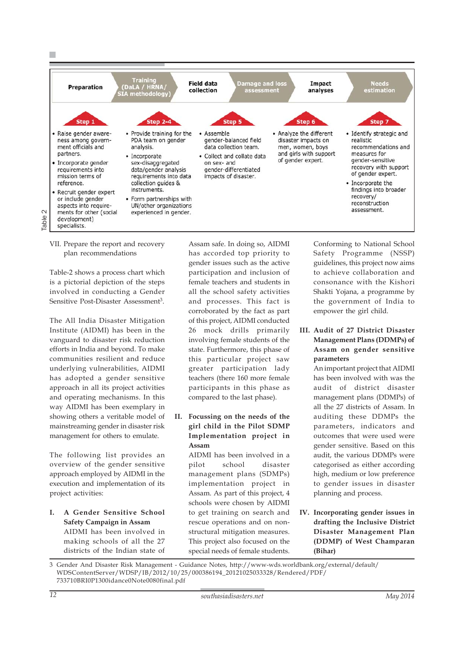

VII. Prepare the report and recovery plan recommendations

Table-2 shows a process chart which is a pictorial depiction of the steps involved in conducting a Gender Sensitive Post-Disaster Assessment<sup>3</sup>.

The All India Disaster Mitigation Institute (AIDMI) has been in the vanguard to disaster risk reduction efforts in India and beyond. To make communities resilient and reduce underlying vulnerabilities, AIDMI has adopted a gender sensitive approach in all its project activities and operating mechanisms. In this way AIDMI has been exemplary in showing others a veritable model of mainstreaming gender in disaster risk management for others to emulate.

The following list provides an overview of the gender sensitive approach employed by AIDMI in the execution and implementation of its project activities:

#### **I. A Gender Sensitive School Safety Campaign in Assam** AIDMI has been involved in making schools of all the 27 districts of the Indian state of

Assam safe. In doing so, AIDMI has accorded top priority to gender issues such as the active participation and inclusion of female teachers and students in all the school safety activities and processes. This fact is corroborated by the fact as part of this project, AIDMI conducted 26 mock drills primarily involving female students of the state. Furthermore, this phase of this particular project saw greater participation lady teachers (there 160 more female participants in this phase as compared to the last phase).

**II. Focussing on the needs of the girl child in the Pilot SDMP Implementation project in Assam**

> AIDMI has been involved in a pilot school disaster management plans (SDMPs) implementation project in Assam. As part of this project, 4 schools were chosen by AIDMI to get training on search and rescue operations and on nonstructural mitigation measures. This project also focused on the special needs of female students.

Conforming to National School Safety Programme (NSSP) guidelines, this project now aims to achieve collaboration and consonance with the Kishori Shakti Yojana, a programme by the government of India to empower the girl child.

**III. Audit of 27 District Disaster Management Plans (DDMPs) of Assam on gender sensitive parameters**

An important project that AIDMI has been involved with was the audit of district disaster management plans (DDMPs) of all the 27 districts of Assam. In auditing these DDMPs the parameters, indicators and outcomes that were used were gender sensitive. Based on this audit, the various DDMPs were categorised as either according high, medium or low preference to gender issues in disaster planning and process.

**IV. Incorporating gender issues in drafting the Inclusive District Disaster Management Plan (DDMP) of West Champaran (Bihar)**

3 Gender And Disaster Risk Management - Guidance Notes, http://www-wds.worldbank.org/external/default/ WDSContentServer/WDSP/IB/2012/10/25/000386194\_20121025033328/Rendered/PDF/ 733710BRI0P1300idance0Note0080final.pdf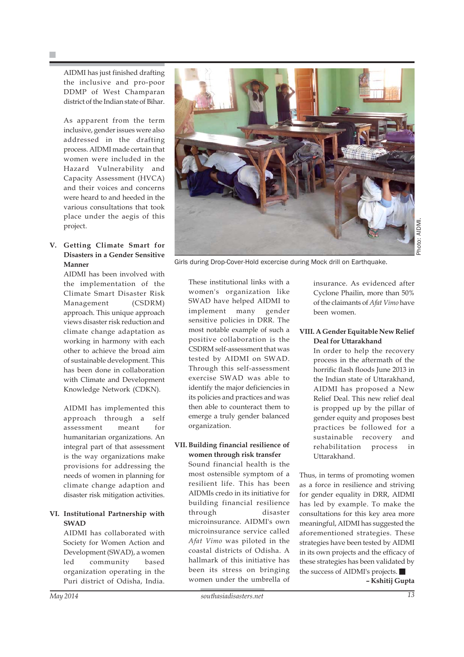AIDMI has just finished drafting the inclusive and pro-poor DDMP of West Champaran district of the Indian state of Bihar.

As apparent from the term inclusive, gender issues were also addressed in the drafting process. AIDMI made certain that women were included in the Hazard Vulnerability and Capacity Assessment (HVCA) and their voices and concerns were heard to and heeded in the various consultations that took place under the aegis of this project.

#### **V. Getting Climate Smart for Disasters in a Gender Sensitive Manner**

AIDMI has been involved with the implementation of the Climate Smart Disaster Risk Management (CSDRM) approach. This unique approach views disaster risk reduction and climate change adaptation as working in harmony with each other to achieve the broad aim of sustainable development. This has been done in collaboration with Climate and Development Knowledge Network (CDKN).

AIDMI has implemented this approach through a self assessment meant for humanitarian organizations. An integral part of that assessment is the way organizations make provisions for addressing the needs of women in planning for climate change adaption and disaster risk mitigation activities.

#### **VI. Institutional Partnership with SWAD**

AIDMI has collaborated with Society for Women Action and Development (SWAD), a women led community based organization operating in the Puri district of Odisha, India.



Girls during Drop-Cover-Hold excercise during Mock drill on Earthquake.

These institutional links with a women's organization like SWAD have helped AIDMI to implement many gender sensitive policies in DRR. The most notable example of such a positive collaboration is the CSDRM self-assessment that was tested by AIDMI on SWAD. Through this self-assessment exercise SWAD was able to identify the major deficiencies in its policies and practices and was then able to counteract them to emerge a truly gender balanced organization.

#### **VII. Building financial resilience of women through risk transfer**

Sound financial health is the most ostensible symptom of a resilient life. This has been AIDMIs credo in its initiative for building financial resilience through disaster microinsurance. AIDMI's own microinsurance service called *Afat Vimo* was piloted in the coastal districts of Odisha. A hallmark of this initiative has been its stress on bringing women under the umbrella of

insurance. As evidenced after Cyclone Phailin, more than 50% of the claimants of *Afat Vimo* have been women.

#### **VIII. A Gender Equitable New Relief Deal for Uttarakhand**

In order to help the recovery process in the aftermath of the horrific flash floods June 2013 in the Indian state of Uttarakhand, AIDMI has proposed a New Relief Deal. This new relief deal is propped up by the pillar of gender equity and proposes best practices be followed for a sustainable recovery and rehabilitation process in Uttarakhand.

Thus, in terms of promoting women as a force in resilience and striving for gender equality in DRR, AIDMI has led by example. To make the consultations for this key area more meaningful, AIDMI has suggested the aforementioned strategies. These strategies have been tested by AIDMI in its own projects and the efficacy of these strategies has been validated by the success of AIDMI's projects.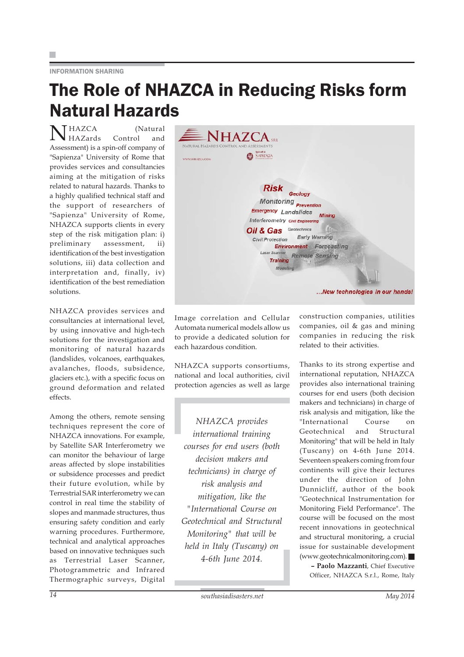#### INFORMATION SHARING

### The Role of NHAZCA in Reducing Risks form Natural Hazards

N HAZCA (Natural HAZards Control and Assessment) is a spin-off company of "Sapienza" University of Rome that provides services and consultancies aiming at the mitigation of risks related to natural hazards. Thanks to a highly qualified technical staff and the support of researchers of "Sapienza" University of Rome, NHAZCA supports clients in every step of the risk mitigation plan: i) preliminary assessment, ii) identification of the best investigation solutions, iii) data collection and interpretation and, finally, iv) identification of the best remediation solutions.

NHAZCA provides services and consultancies at international level, by using innovative and high-tech solutions for the investigation and monitoring of natural hazards (landslides, volcanoes, earthquakes, avalanches, floods, subsidence, glaciers etc.), with a specific focus on ground deformation and related effects.

Among the others, remote sensing techniques represent the core of NHAZCA innovations. For example, by Satellite SAR Interferometry we can monitor the behaviour of large areas affected by slope instabilities or subsidence processes and predict their future evolution, while by Terrestrial SAR interferometry we can control in real time the stability of slopes and manmade structures, thus ensuring safety condition and early warning procedures. Furthermore, technical and analytical approaches based on innovative techniques such as Terrestrial Laser Scanner, Photogrammetric and Infrared Thermographic surveys, Digital



Image correlation and Cellular Automata numerical models allow us to provide a dedicated solution for each hazardous condition.

NHAZCA supports consortiums, national and local authorities, civil protection agencies as well as large

*NHAZCA provides international training courses for end users (both decision makers and technicians) in charge of risk analysis and mitigation, like the "International Course on Geotechnical and Structural Monitoring" that will be held in Italy (Tuscany) on 4-6th June 2014.*

construction companies, utilities companies, oil & gas and mining companies in reducing the risk related to their activities.

Thanks to its strong expertise and international reputation, NHAZCA provides also international training courses for end users (both decision makers and technicians) in charge of risk analysis and mitigation, like the "International Course on Geotechnical and Structural Monitoring" that will be held in Italy (Tuscany) on 4-6th June 2014. Seventeen speakers coming from four continents will give their lectures under the direction of John Dunnicliff, author of the book "Geotechnical Instrumentation for Monitoring Field Performance". The course will be focused on the most recent innovations in geotechnical and structural monitoring, a crucial issue for sustainable development (www.geotechnicalmonitoring.com).

**– Paolo Mazzanti**, Chief Executive Officer, NHAZCA S.r.l., Rome, Italy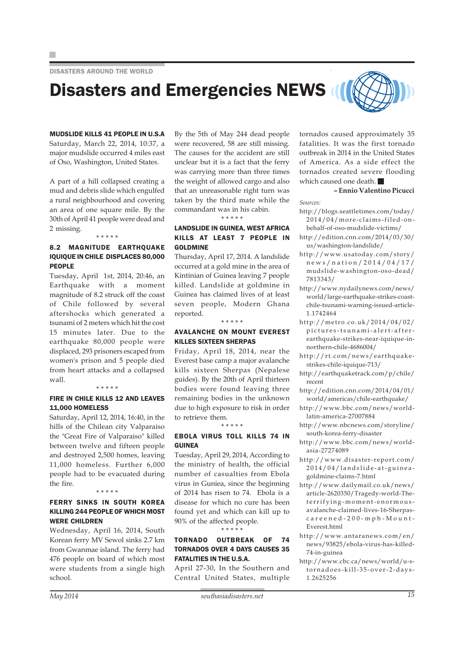DISASTERS AROUND THE WORLD

# Disasters and Emergencies NEWS

MUDSLIDE KILLS 41 PEOPLE IN U.S.A Saturday, March 22, 2014, 10:37, a major mudslide occurred 4 miles east of Oso, Washington, United States.

A part of a hill collapsed creating a mud and debris slide which engulfed a rural neighbourhood and covering an area of one square mile. By the 30th of April 41 people were dead and 2 missing. \* \* \* \* \*

#### 8.2 MAGNITUDE EARTHQUAKE IQUIQUE IN CHILE DISPLACES 80,000 PEOPLE

Tuesday, April 1st, 2014, 20:46, an Earthquake with a moment magnitude of 8.2 struck off the coast of Chile followed by several aftershocks which generated a tsunami of 2 meters which hit the cost 15 minutes later. Due to the earthquake 80,000 people were displaced, 293 prisoners escaped from women's prison and 5 people died from heart attacks and a collapsed wall.

#### \* \* \* \* \*

#### FIRE IN CHILE KILLS 12 AND LEAVES 11,000 HOMELESS

Saturday, April 12, 2014, 16:40, in the hills of the Chilean city Valparaiso the "Great Fire of Valparaiso" killed between twelve and fifteen people and destroyed 2,500 homes, leaving 11,000 homeless. Further 6,000 people had to be evacuated during the fire.

#### \* \* \* \* \*

#### FERRY SINKS IN SOUTH KOREA KILLING 244 PEOPLE OF WHICH MOST WERE CHILDREN

Wednesday, April 16, 2014, South Korean ferry MV Sewol sinks 2.7 km from Gwanmae island. The ferry had 476 people on board of which most were students from a single high school.

By the 5th of May 244 dead people were recovered, 58 are still missing. The causes for the accident are still unclear but it is a fact that the ferry was carrying more than three times the weight of allowed cargo and also that an unreasonable right turn was taken by the third mate while the commandant was in his cabin. \* \* \* \* \*

#### LANDSLIDE IN GUINEA, WEST AFRICA KILLS AT LEAST 7 PEOPLE IN GOLDMINE

Thursday, April 17, 2014. A landslide occurred at a gold mine in the area of Kintinian of Guinea leaving 7 people killed. Landslide at goldmine in Guinea has claimed lives of at least seven people, Modern Ghana reported.

#### \* \* \* \* \*

#### AVALANCHE ON MOUNT EVEREST KILLES SIXTEEN SHERPAS

Friday, April 18, 2014, near the Everest base camp a major avalanche kills sixteen Sherpas (Nepalese guides). By the 20th of April thirteen bodies were found leaving three remaining bodies in the unknown due to high exposure to risk in order to retrieve them.

#### \* \* \* \* \*

#### EBOLA VIRUS TOLL KILLS 74 IN GUINEA

Tuesday, April 29, 2014, According to the ministry of health, the official number of casualties from Ebola virus in Guniea, since the beginning of 2014 has risen to 74. Ebola is a disease for which no cure has been found yet and which can kill up to 90% of the affected people.

\* \* \* \* \*

#### TORNADO OUTBREAK OF 74 TORNADOS OVER 4 DAYS CAUSES 35 FATALITIES IN THE U.S.A.

April 27-30, In the Southern and Central United States, multiple tornados caused approximately 35 fatalities. It was the first tornado outbreak in 2014 in the United States of America. As a side effect the tornados created severe flooding which caused one death.

**– Ennio Valentino Picucci**

*Sources:*

- http://blogs.seattletimes.com/today/ 2014/04/more-claims-filed-onbehalf-of-oso-mudslide-victims/
- http://edition.cnn.com/2014/03/30/ us/washington-landslide/
- http://www.usatoday.com/story/ news/nation/2014/04/17/ mudslide-washington-oso-dead/ 7813343/
- http://www.nydailynews.com/news/ world/large-earthquake-strikes-coastchile-tsunami-warning-issued-article-1.1742464
- http://metro.co.uk/2014/04/02/ pictures-tsunami-alert-afterearthquake-strikes-near-iquique-innorthern-chile-4686004/
- http://rt.com/news/earthquakestrikes-chile-iquique-713/
- http://earthquaketrack.com/p/chile/ recent
- http://edition.cnn.com/2014/04/01/ world/americas/chile-earthquake/
- http://www.bbc.com/news/worldlatin-america-27007884
- http://www.nbcnews.com/storyline/ south-korea-ferry-disaster
- http://www.bbc.com/news/worldasia-27274089
- http://www.disaster-report.com/ 2014/04/landslide-at-guineagoldmine-claims-7.html
- http://www.dailymail.co.uk/news/ article-2620350/Tragedy-world-Theterrifying-moment-enormousavalanche-claimed-lives-16-Sherpascareened-200-mph-Mount-Everest html
- http://www.antaranews.com/en/ news/93825/ebola-virus-has-killed-74-in-guinea
- http://www.cbc.ca/news/world/u-stornadoes-kill-35-over-2-days-1.2625256